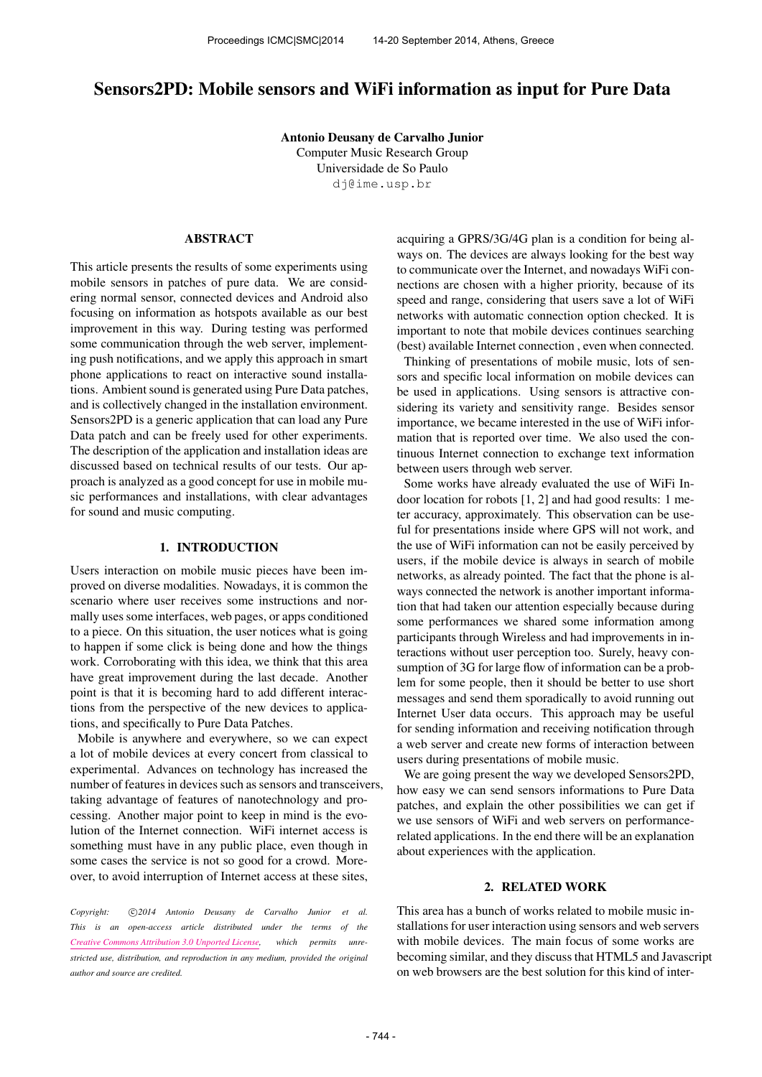# Sensors2PD: Mobile sensors and WiFi information as input for Pure Data

Antonio Deusany de Carvalho Junior Computer Music Research Group Universidade de So Paulo [dj@ime.usp.br](mailto:dj@ime.usp.br)

## ABSTRACT

This article presents the results of some experiments using mobile sensors in patches of pure data. We are considering normal sensor, connected devices and Android also focusing on information as hotspots available as our best improvement in this way. During testing was performed some communication through the web server, implementing push notifications, and we apply this approach in smart phone applications to react on interactive sound installations. Ambient sound is generated using Pure Data patches, and is collectively changed in the installation environment. Sensors2PD is a generic application that can load any Pure Data patch and can be freely used for other experiments. The description of the application and installation ideas are discussed based on technical results of our tests. Our approach is analyzed as a good concept for use in mobile music performances and installations, with clear advantages for sound and music computing.

### 1. INTRODUCTION

Users interaction on mobile music pieces have been improved on diverse modalities. Nowadays, it is common the scenario where user receives some instructions and normally uses some interfaces, web pages, or apps conditioned to a piece. On this situation, the user notices what is going to happen if some click is being done and how the things work. Corroborating with this idea, we think that this area have great improvement during the last decade. Another point is that it is becoming hard to add different interactions from the perspective of the new devices to applications, and specifically to Pure Data Patches.

Mobile is anywhere and everywhere, so we can expect a lot of mobile devices at every concert from classical to experimental. Advances on technology has increased the number of features in devices such as sensors and transceivers, taking advantage of features of nanotechnology and processing. Another major point to keep in mind is the evolution of the Internet connection. WiFi internet access is something must have in any public place, even though in some cases the service is not so good for a crowd. Moreover, to avoid interruption of Internet access at these sites,

Copyright:  $\bigcirc$  2014 Antonio Deusany de Carvalho Junior et al. *This is an open-access article distributed under the terms of the [Creative Commons Attribution 3.0 Unported License,](http://creativecommons.org/licenses/by/3.0/) which permits unrestricted use, distribution, and reproduction in any medium, provided the original author and source are credited.*

acquiring a GPRS/3G/4G plan is a condition for being always on. The devices are always looking for the best way to communicate over the Internet, and nowadays WiFi connections are chosen with a higher priority, because of its speed and range, considering that users save a lot of WiFi networks with automatic connection option checked. It is important to note that mobile devices continues searching (best) available Internet connection , even when connected.

Thinking of presentations of mobile music, lots of sensors and specific local information on mobile devices can be used in applications. Using sensors is attractive considering its variety and sensitivity range. Besides sensor importance, we became interested in the use of WiFi information that is reported over time. We also used the continuous Internet connection to exchange text information between users through web server.

Some works have already evaluated the use of WiFi Indoor location for robots [1, 2] and had good results: 1 meter accuracy, approximately. This observation can be useful for presentations inside where GPS will not work, and the use of WiFi information can not be easily perceived by users, if the mobile device is always in search of mobile networks, as already pointed. The fact that the phone is always connected the network is another important information that had taken our attention especially because during some performances we shared some information among participants through Wireless and had improvements in interactions without user perception too. Surely, heavy consumption of 3G for large flow of information can be a problem for some people, then it should be better to use short messages and send them sporadically to avoid running out Internet User data occurs. This approach may be useful for sending information and receiving notification through a web server and create new forms of interaction between users during presentations of mobile music.

We are going present the way we developed Sensors2PD, how easy we can send sensors informations to Pure Data patches, and explain the other possibilities we can get if we use sensors of WiFi and web servers on performancerelated applications. In the end there will be an explanation about experiences with the application.

## 2. RELATED WORK

This area has a bunch of works related to mobile music installations for user interaction using sensors and web servers with mobile devices. The main focus of some works are becoming similar, and they discuss that HTML5 and Javascript on web browsers are the best solution for this kind of inter-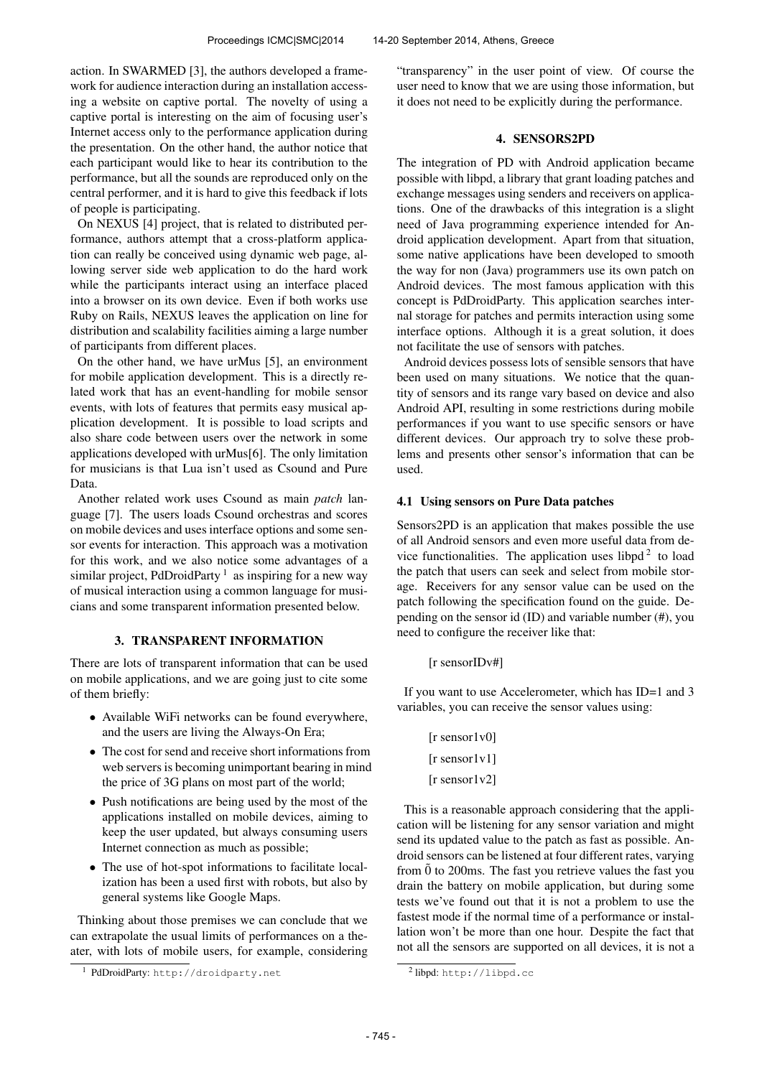action. In SWARMED [3], the authors developed a framework for audience interaction during an installation accessing a website on captive portal. The novelty of using a captive portal is interesting on the aim of focusing user's Internet access only to the performance application during the presentation. On the other hand, the author notice that each participant would like to hear its contribution to the performance, but all the sounds are reproduced only on the central performer, and it is hard to give this feedback if lots of people is participating.

On NEXUS [4] project, that is related to distributed performance, authors attempt that a cross-platform application can really be conceived using dynamic web page, allowing server side web application to do the hard work while the participants interact using an interface placed into a browser on its own device. Even if both works use Ruby on Rails, NEXUS leaves the application on line for distribution and scalability facilities aiming a large number of participants from different places.

On the other hand, we have urMus [5], an environment for mobile application development. This is a directly related work that has an event-handling for mobile sensor events, with lots of features that permits easy musical application development. It is possible to load scripts and also share code between users over the network in some applications developed with urMus[6]. The only limitation for musicians is that Lua isn't used as Csound and Pure Data.

Another related work uses Csound as main *patch* language [7]. The users loads Csound orchestras and scores on mobile devices and uses interface options and some sensor events for interaction. This approach was a motivation for this work, and we also notice some advantages of a similar project, PdDroidParty  $<sup>1</sup>$  as inspiring for a new way</sup> of musical interaction using a common language for musicians and some transparent information presented below.

# 3. TRANSPARENT INFORMATION

There are lots of transparent information that can be used on mobile applications, and we are going just to cite some of them briefly:

- Available WiFi networks can be found everywhere, and the users are living the Always-On Era;
- The cost for send and receive short informations from web servers is becoming unimportant bearing in mind the price of 3G plans on most part of the world;
- Push notifications are being used by the most of the applications installed on mobile devices, aiming to keep the user updated, but always consuming users Internet connection as much as possible;
- The use of hot-spot informations to facilitate localization has been a used first with robots, but also by general systems like Google Maps.

Thinking about those premises we can conclude that we can extrapolate the usual limits of performances on a theater, with lots of mobile users, for example, considering "transparency" in the user point of view. Of course the user need to know that we are using those information, but it does not need to be explicitly during the performance.

## 4. SENSORS2PD

The integration of PD with Android application became possible with libpd, a library that grant loading patches and exchange messages using senders and receivers on applications. One of the drawbacks of this integration is a slight need of Java programming experience intended for Android application development. Apart from that situation, some native applications have been developed to smooth the way for non (Java) programmers use its own patch on Android devices. The most famous application with this concept is PdDroidParty. This application searches internal storage for patches and permits interaction using some interface options. Although it is a great solution, it does not facilitate the use of sensors with patches.

Android devices possess lots of sensible sensors that have been used on many situations. We notice that the quantity of sensors and its range vary based on device and also Android API, resulting in some restrictions during mobile performances if you want to use specific sensors or have different devices. Our approach try to solve these problems and presents other sensor's information that can be used.

## 4.1 Using sensors on Pure Data patches

Sensors2PD is an application that makes possible the use of all Android sensors and even more useful data from device functionalities. The application uses libpd<sup>2</sup> to load the patch that users can seek and select from mobile storage. Receivers for any sensor value can be used on the patch following the specification found on the guide. Depending on the sensor id (ID) and variable number (#), you need to configure the receiver like that:

[r sensorIDv#]

If you want to use Accelerometer, which has ID=1 and 3 variables, you can receive the sensor values using:

> [r sensor1v0] [r sensor1v1] [r sensor1v2]

This is a reasonable approach considering that the application will be listening for any sensor variation and might send its updated value to the patch as fast as possible. Android sensors can be listened at four different rates, varying from  $\ddot{0}$  to 200ms. The fast you retrieve values the fast you drain the battery on mobile application, but during some tests we've found out that it is not a problem to use the fastest mode if the normal time of a performance or installation won't be more than one hour. Despite the fact that not all the sensors are supported on all devices, it is not a

<sup>1</sup> PdDroidParty: <http://droidparty.net>

<sup>&</sup>lt;sup>2</sup>libpd: <http://libpd.cc>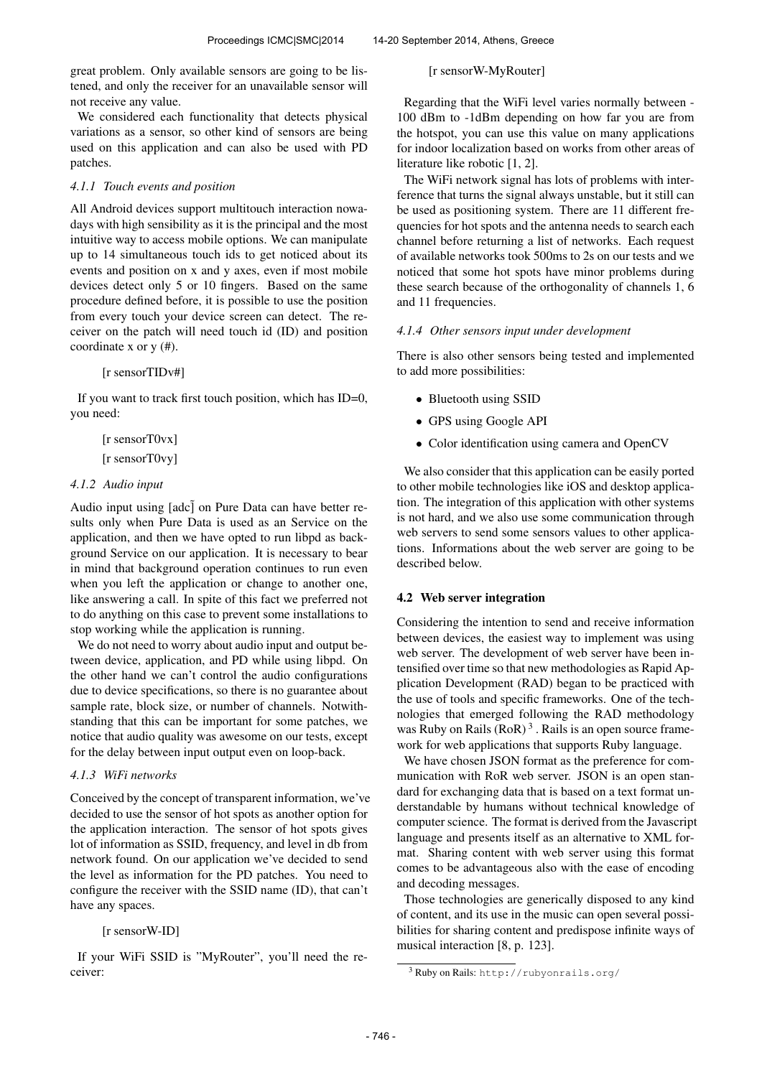great problem. Only available sensors are going to be listened, and only the receiver for an unavailable sensor will not receive any value.

We considered each functionality that detects physical variations as a sensor, so other kind of sensors are being used on this application and can also be used with PD patches.

## *4.1.1 Touch events and position*

All Android devices support multitouch interaction nowadays with high sensibility as it is the principal and the most intuitive way to access mobile options. We can manipulate up to 14 simultaneous touch ids to get noticed about its events and position on x and y axes, even if most mobile devices detect only 5 or 10 fingers. Based on the same procedure defined before, it is possible to use the position from every touch your device screen can detect. The receiver on the patch will need touch id (ID) and position coordinate x or y (#).

## [r sensorTIDv#]

If you want to track first touch position, which has ID=0, you need:

> [r sensorT0vx] [r sensorT0vy]

#### *4.1.2 Audio input*

Audio input using  $[a \, d c]$  on Pure Data can have better results only when Pure Data is used as an Service on the application, and then we have opted to run libpd as background Service on our application. It is necessary to bear in mind that background operation continues to run even when you left the application or change to another one, like answering a call. In spite of this fact we preferred not to do anything on this case to prevent some installations to stop working while the application is running.

We do not need to worry about audio input and output between device, application, and PD while using libpd. On the other hand we can't control the audio configurations due to device specifications, so there is no guarantee about sample rate, block size, or number of channels. Notwithstanding that this can be important for some patches, we notice that audio quality was awesome on our tests, except for the delay between input output even on loop-back.

## *4.1.3 WiFi networks*

Conceived by the concept of transparent information, we've decided to use the sensor of hot spots as another option for the application interaction. The sensor of hot spots gives lot of information as SSID, frequency, and level in db from network found. On our application we've decided to send the level as information for the PD patches. You need to configure the receiver with the SSID name (ID), that can't have any spaces.

## [r sensorW-ID]

If your WiFi SSID is "MyRouter", you'll need the receiver:

[r sensorW-MyRouter]

Regarding that the WiFi level varies normally between - 100 dBm to -1dBm depending on how far you are from the hotspot, you can use this value on many applications for indoor localization based on works from other areas of literature like robotic [1, 2].

The WiFi network signal has lots of problems with interference that turns the signal always unstable, but it still can be used as positioning system. There are 11 different frequencies for hot spots and the antenna needs to search each channel before returning a list of networks. Each request of available networks took 500ms to 2s on our tests and we noticed that some hot spots have minor problems during these search because of the orthogonality of channels 1, 6 and 11 frequencies.

## *4.1.4 Other sensors input under development*

There is also other sensors being tested and implemented to add more possibilities:

- Bluetooth using SSID
- GPS using Google API
- Color identification using camera and OpenCV

We also consider that this application can be easily ported to other mobile technologies like iOS and desktop application. The integration of this application with other systems is not hard, and we also use some communication through web servers to send some sensors values to other applications. Informations about the web server are going to be described below.

#### 4.2 Web server integration

Considering the intention to send and receive information between devices, the easiest way to implement was using web server. The development of web server have been intensified over time so that new methodologies as Rapid Application Development (RAD) began to be practiced with the use of tools and specific frameworks. One of the technologies that emerged following the RAD methodology was Ruby on Rails  $(RoR)<sup>3</sup>$ . Rails is an open source framework for web applications that supports Ruby language.

We have chosen JSON format as the preference for communication with RoR web server. JSON is an open standard for exchanging data that is based on a text format understandable by humans without technical knowledge of computer science. The format is derived from the Javascript language and presents itself as an alternative to XML format. Sharing content with web server using this format comes to be advantageous also with the ease of encoding and decoding messages.

Those technologies are generically disposed to any kind of content, and its use in the music can open several possibilities for sharing content and predispose infinite ways of musical interaction [8, p. 123].

<sup>3</sup> Ruby on Rails: <http://rubyonrails.org/>